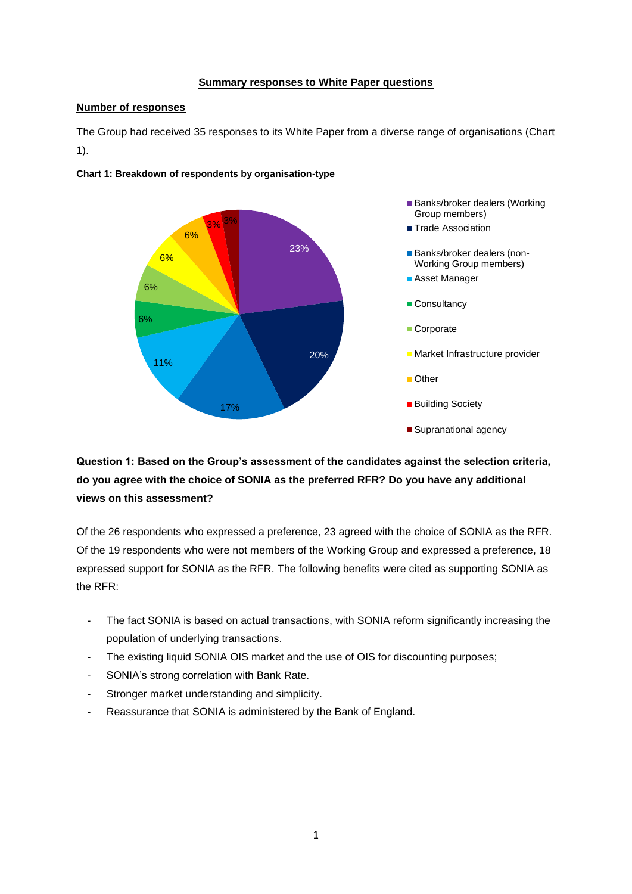#### **Summary responses to White Paper questions**

#### **Number of responses**

The Group had received 35 responses to its White Paper from a diverse range of organisations (Chart 1).



**Chart 1: Breakdown of respondents by organisation-type**

# **Question 1: Based on the Group's assessment of the candidates against the selection criteria, do you agree with the choice of SONIA as the preferred RFR? Do you have any additional views on this assessment?**

Of the 26 respondents who expressed a preference, 23 agreed with the choice of SONIA as the RFR. Of the 19 respondents who were not members of the Working Group and expressed a preference, 18 expressed support for SONIA as the RFR. The following benefits were cited as supporting SONIA as the RFR:

- The fact SONIA is based on actual transactions, with SONIA reform significantly increasing the population of underlying transactions.
- The existing liquid SONIA OIS market and the use of OIS for discounting purposes;
- SONIA's strong correlation with Bank Rate.
- Stronger market understanding and simplicity.
- Reassurance that SONIA is administered by the Bank of England.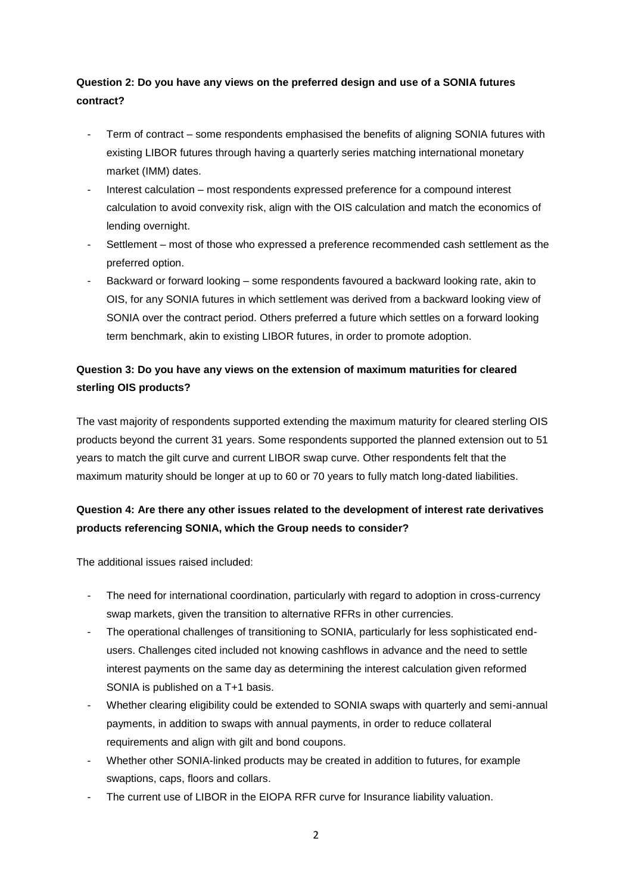#### **Question 2: Do you have any views on the preferred design and use of a SONIA futures contract?**

- Term of contract some respondents emphasised the benefits of aligning SONIA futures with existing LIBOR futures through having a quarterly series matching international monetary market (IMM) dates.
- Interest calculation most respondents expressed preference for a compound interest calculation to avoid convexity risk, align with the OIS calculation and match the economics of lending overnight.
- Settlement most of those who expressed a preference recommended cash settlement as the preferred option.
- Backward or forward looking some respondents favoured a backward looking rate, akin to OIS, for any SONIA futures in which settlement was derived from a backward looking view of SONIA over the contract period. Others preferred a future which settles on a forward looking term benchmark, akin to existing LIBOR futures, in order to promote adoption.

## **Question 3: Do you have any views on the extension of maximum maturities for cleared sterling OIS products?**

The vast majority of respondents supported extending the maximum maturity for cleared sterling OIS products beyond the current 31 years. Some respondents supported the planned extension out to 51 years to match the gilt curve and current LIBOR swap curve. Other respondents felt that the maximum maturity should be longer at up to 60 or 70 years to fully match long-dated liabilities.

# **Question 4: Are there any other issues related to the development of interest rate derivatives products referencing SONIA, which the Group needs to consider?**

The additional issues raised included:

- The need for international coordination, particularly with regard to adoption in cross-currency swap markets, given the transition to alternative RFRs in other currencies.
- The operational challenges of transitioning to SONIA, particularly for less sophisticated endusers. Challenges cited included not knowing cashflows in advance and the need to settle interest payments on the same day as determining the interest calculation given reformed SONIA is published on a T+1 basis.
- Whether clearing eligibility could be extended to SONIA swaps with quarterly and semi-annual payments, in addition to swaps with annual payments, in order to reduce collateral requirements and align with gilt and bond coupons.
- Whether other SONIA-linked products may be created in addition to futures, for example swaptions, caps, floors and collars.
- The current use of LIBOR in the EIOPA RFR curve for Insurance liability valuation.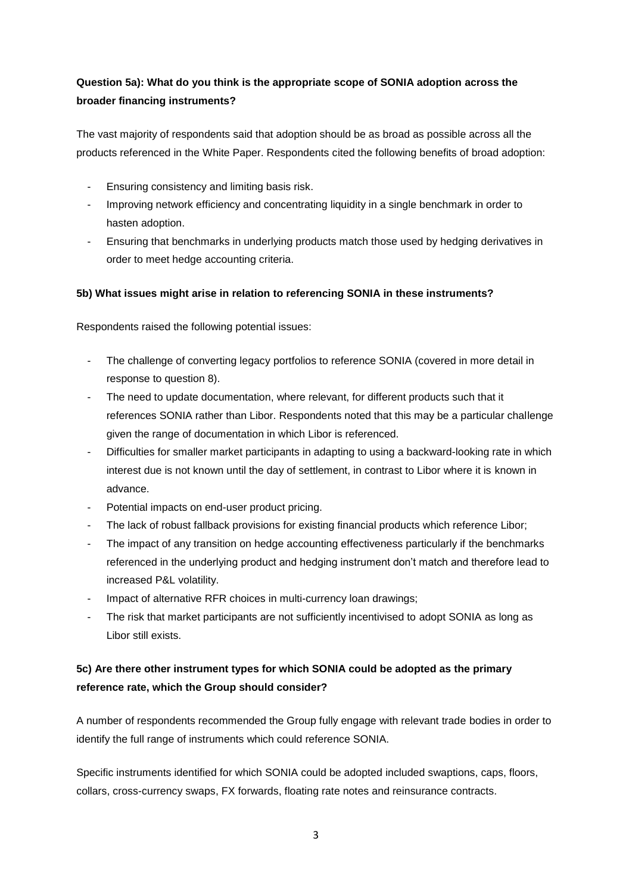### **Question 5a): What do you think is the appropriate scope of SONIA adoption across the broader financing instruments?**

The vast majority of respondents said that adoption should be as broad as possible across all the products referenced in the White Paper. Respondents cited the following benefits of broad adoption:

- Ensuring consistency and limiting basis risk.
- Improving network efficiency and concentrating liquidity in a single benchmark in order to hasten adoption.
- Ensuring that benchmarks in underlying products match those used by hedging derivatives in order to meet hedge accounting criteria.

#### **5b) What issues might arise in relation to referencing SONIA in these instruments?**

Respondents raised the following potential issues:

- The challenge of converting legacy portfolios to reference SONIA (covered in more detail in response to question 8).
- The need to update documentation, where relevant, for different products such that it references SONIA rather than Libor. Respondents noted that this may be a particular challenge given the range of documentation in which Libor is referenced.
- Difficulties for smaller market participants in adapting to using a backward-looking rate in which interest due is not known until the day of settlement, in contrast to Libor where it is known in advance.
- Potential impacts on end-user product pricing.
- The lack of robust fallback provisions for existing financial products which reference Libor;
- The impact of any transition on hedge accounting effectiveness particularly if the benchmarks referenced in the underlying product and hedging instrument don't match and therefore lead to increased P&L volatility.
- Impact of alternative RFR choices in multi-currency loan drawings;
- The risk that market participants are not sufficiently incentivised to adopt SONIA as long as Libor still exists.

### **5c) Are there other instrument types for which SONIA could be adopted as the primary reference rate, which the Group should consider?**

A number of respondents recommended the Group fully engage with relevant trade bodies in order to identify the full range of instruments which could reference SONIA.

Specific instruments identified for which SONIA could be adopted included swaptions, caps, floors, collars, cross-currency swaps, FX forwards, floating rate notes and reinsurance contracts.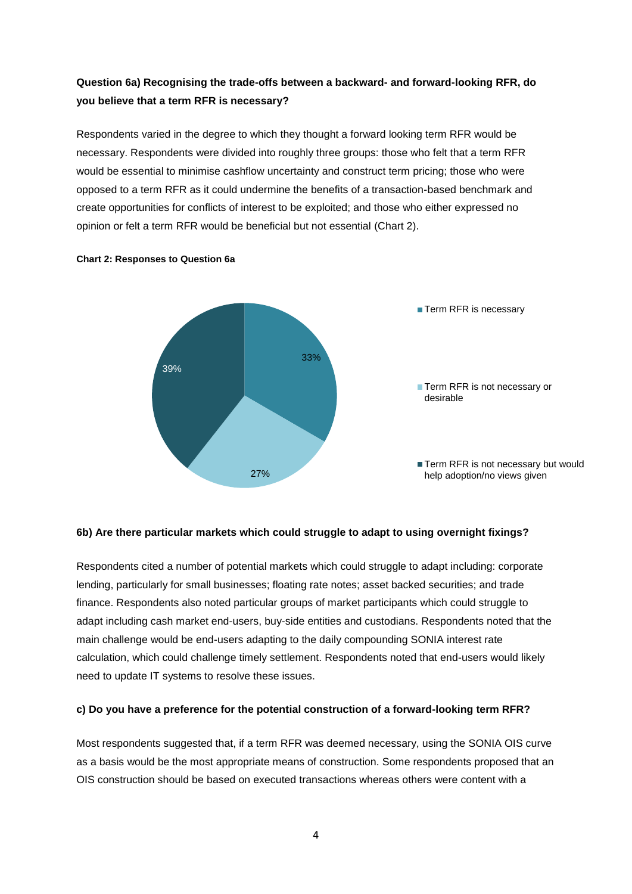#### **Question 6a) Recognising the trade-offs between a backward- and forward-looking RFR, do you believe that a term RFR is necessary?**

Respondents varied in the degree to which they thought a forward looking term RFR would be necessary. Respondents were divided into roughly three groups: those who felt that a term RFR would be essential to minimise cashflow uncertainty and construct term pricing; those who were opposed to a term RFR as it could undermine the benefits of a transaction-based benchmark and create opportunities for conflicts of interest to be exploited; and those who either expressed no opinion or felt a term RFR would be beneficial but not essential (Chart 2).



#### **Chart 2: Responses to Question 6a**

#### **6b) Are there particular markets which could struggle to adapt to using overnight fixings?**

Respondents cited a number of potential markets which could struggle to adapt including: corporate lending, particularly for small businesses; floating rate notes; asset backed securities; and trade finance. Respondents also noted particular groups of market participants which could struggle to adapt including cash market end-users, buy-side entities and custodians. Respondents noted that the main challenge would be end-users adapting to the daily compounding SONIA interest rate calculation, which could challenge timely settlement. Respondents noted that end-users would likely need to update IT systems to resolve these issues.

#### **c) Do you have a preference for the potential construction of a forward-looking term RFR?**

Most respondents suggested that, if a term RFR was deemed necessary, using the SONIA OIS curve as a basis would be the most appropriate means of construction. Some respondents proposed that an OIS construction should be based on executed transactions whereas others were content with a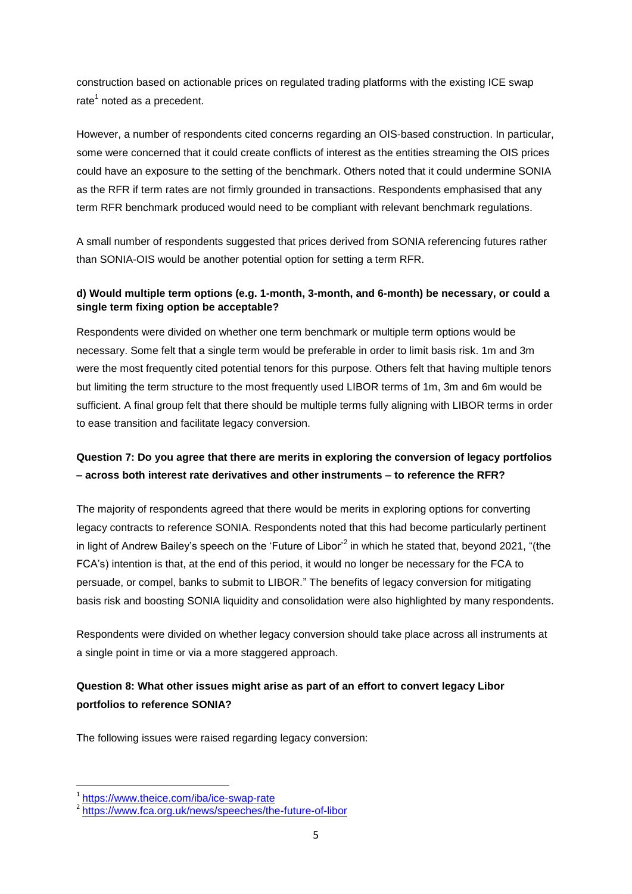construction based on actionable prices on regulated trading platforms with the existing ICE swap rate<sup>1</sup> noted as a precedent.

However, a number of respondents cited concerns regarding an OIS-based construction. In particular, some were concerned that it could create conflicts of interest as the entities streaming the OIS prices could have an exposure to the setting of the benchmark. Others noted that it could undermine SONIA as the RFR if term rates are not firmly grounded in transactions. Respondents emphasised that any term RFR benchmark produced would need to be compliant with relevant benchmark regulations.

A small number of respondents suggested that prices derived from SONIA referencing futures rather than SONIA-OIS would be another potential option for setting a term RFR.

#### **d) Would multiple term options (e.g. 1-month, 3-month, and 6-month) be necessary, or could a single term fixing option be acceptable?**

Respondents were divided on whether one term benchmark or multiple term options would be necessary. Some felt that a single term would be preferable in order to limit basis risk. 1m and 3m were the most frequently cited potential tenors for this purpose. Others felt that having multiple tenors but limiting the term structure to the most frequently used LIBOR terms of 1m, 3m and 6m would be sufficient. A final group felt that there should be multiple terms fully aligning with LIBOR terms in order to ease transition and facilitate legacy conversion.

### **Question 7: Do you agree that there are merits in exploring the conversion of legacy portfolios – across both interest rate derivatives and other instruments – to reference the RFR?**

The majority of respondents agreed that there would be merits in exploring options for converting legacy contracts to reference SONIA. Respondents noted that this had become particularly pertinent in light of Andrew Bailey's speech on the 'Future of Libor'<sup>2</sup> in which he stated that, beyond 2021, "(the FCA's) intention is that, at the end of this period, it would no longer be necessary for the FCA to persuade, or compel, banks to submit to LIBOR." The benefits of legacy conversion for mitigating basis risk and boosting SONIA liquidity and consolidation were also highlighted by many respondents.

Respondents were divided on whether legacy conversion should take place across all instruments at a single point in time or via a more staggered approach.

# **Question 8: What other issues might arise as part of an effort to convert legacy Libor portfolios to reference SONIA?**

The following issues were raised regarding legacy conversion:

**.** 

<sup>1</sup> <https://www.theice.com/iba/ice-swap-rate>

<sup>&</sup>lt;sup>2</sup> <https://www.fca.org.uk/news/speeches/the-future-of-libor>